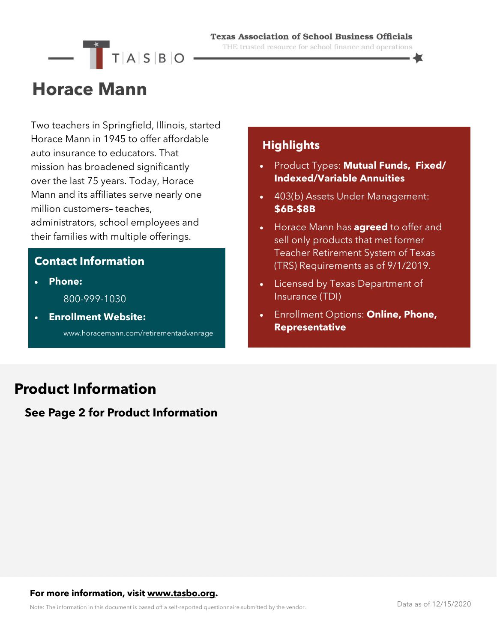# $\overline{\phantom{a}}$   $\overline{\phantom{a}}$   $\overline{\phantom{a}}$   $\overline{\phantom{a}}$   $\overline{\phantom{a}}$   $\overline{\phantom{a}}$   $\overline{\phantom{a}}$   $\overline{\phantom{a}}$   $\overline{\phantom{a}}$   $\overline{\phantom{a}}$   $\overline{\phantom{a}}$   $\overline{\phantom{a}}$   $\overline{\phantom{a}}$   $\overline{\phantom{a}}$   $\overline{\phantom{a}}$   $\overline{\phantom{a}}$   $\overline{\phantom{a}}$   $\overline{\phantom{a}}$   $\overline{\$

#### **Texas Association of School Business Officials**

THE trusted resource for school finance and operations

## **Horace Mann**

Two teachers in Springfield, Illinois, started Horace Mann in 1945 to offer affordable auto insurance to educators. That mission has broadened significantly over the last 75 years. Today, Horace Mann and its affiliates serve nearly one million customers– teaches, administrators, school employees and their families with multiple offerings.

#### **Contact Information**

• **Phone:** 

800-999-1030

• **Enrollment Website:** 

www.horacemann.com/retirementadvanrage

#### **Highlights**

- Product Types: **Mutual Funds, Fixed/ Indexed/Variable Annuities**
- 403(b) Assets Under Management: **\$6B-\$8B**
- Horace Mann has **agreed** to offer and sell only products that met former Teacher Retirement System of Texas (TRS) Requirements as of 9/1/2019.
- Licensed by Texas Department of Insurance (TDI)
- Enrollment Options: **Online, Phone, Representative**

### **Product Information**

#### **See Page 2 for Product Information**